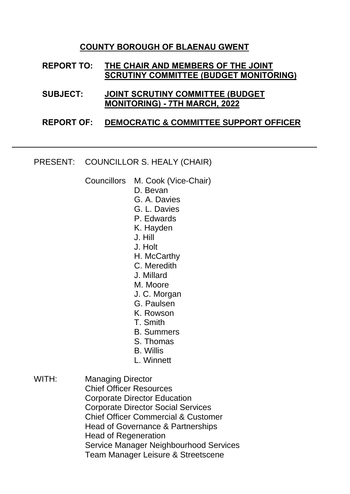## **COUNTY BOROUGH OF BLAENAU GWENT**

## **REPORT TO: THE CHAIR AND MEMBERS OF THE JOINT SCRUTINY COMMITTEE (BUDGET MONITORING)**

**SUBJECT: JOINT SCRUTINY COMMITTEE (BUDGET MONITORING) - 7TH MARCH, 2022**

## **REPORT OF: DEMOCRATIC & COMMITTEE SUPPORT OFFICER**

PRESENT: COUNCILLOR S. HEALY (CHAIR)

Councillors M. Cook (Vice-Chair)

- D. Bevan
- G. A. Davies
- G. L. Davies
- P. Edwards
- K. Hayden
- J. Hill
- J. Holt
- H. McCarthy
- C. Meredith
- J. Millard
- M. Moore
- J. C. Morgan
- G. Paulsen
- K. Rowson
- T. Smith
- B. Summers
- S. Thomas
- B. Willis
- L. Winnett
- WITH: Managing Director Chief Officer Resources Corporate Director Education Corporate Director Social Services Chief Officer Commercial & Customer Head of Governance & Partnerships Head of Regeneration Service Manager Neighbourhood Services Team Manager Leisure & Streetscene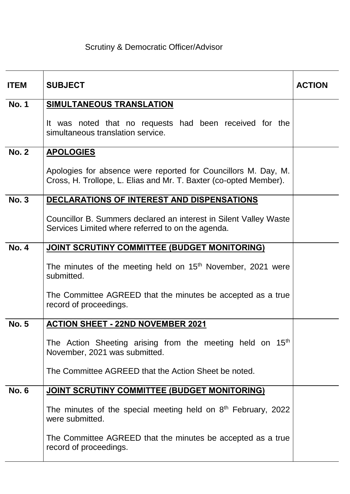## Scrutiny & Democratic Officer/Advisor

| <b>ITEM</b>  | <b>SUBJECT</b>                                                                                                                      | <b>ACTION</b> |
|--------------|-------------------------------------------------------------------------------------------------------------------------------------|---------------|
| <b>No. 1</b> | SIMULTANEOUS TRANSLATION                                                                                                            |               |
|              | It was noted that no requests had been received for the<br>simultaneous translation service.                                        |               |
| <b>No. 2</b> | <b>APOLOGIES</b>                                                                                                                    |               |
|              | Apologies for absence were reported for Councillors M. Day, M.<br>Cross, H. Trollope, L. Elias and Mr. T. Baxter (co-opted Member). |               |
| <b>No. 3</b> | DECLARATIONS OF INTEREST AND DISPENSATIONS                                                                                          |               |
|              | Councillor B. Summers declared an interest in Silent Valley Waste<br>Services Limited where referred to on the agenda.              |               |
| <b>No. 4</b> | JOINT SCRUTINY COMMITTEE (BUDGET MONITORING)                                                                                        |               |
|              | The minutes of the meeting held on 15 <sup>th</sup> November, 2021 were<br>submitted.                                               |               |
|              | The Committee AGREED that the minutes be accepted as a true<br>record of proceedings.                                               |               |
| <b>No. 5</b> | <b>ACTION SHEET - 22ND NOVEMBER 2021</b>                                                                                            |               |
|              | The Action Sheeting arising from the meeting held on 15 <sup>th</sup><br>November, 2021 was submitted.                              |               |
|              | The Committee AGREED that the Action Sheet be noted.                                                                                |               |
| <b>No. 6</b> | JOINT SCRUTINY COMMITTEE (BUDGET MONITORING)                                                                                        |               |
|              | The minutes of the special meeting held on $8th$ February, 2022<br>were submitted.                                                  |               |
|              | The Committee AGREED that the minutes be accepted as a true<br>record of proceedings.                                               |               |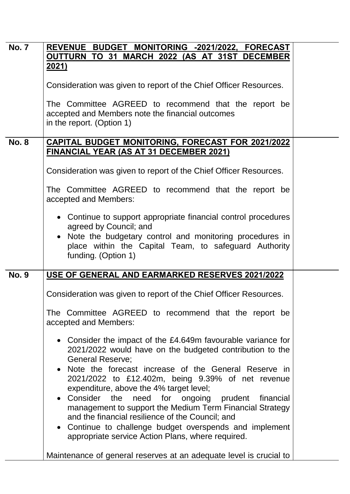| <b>No. 7</b> | REVENUE BUDGET MONITORING -2021/2022, FORECAST                                                                                                                                        |  |
|--------------|---------------------------------------------------------------------------------------------------------------------------------------------------------------------------------------|--|
|              | OUTTURN TO 31 MARCH 2022 (AS AT 31ST DECEMBER<br><u>2021)</u>                                                                                                                         |  |
|              |                                                                                                                                                                                       |  |
|              | Consideration was given to report of the Chief Officer Resources.                                                                                                                     |  |
|              | The Committee AGREED to recommend that the report be                                                                                                                                  |  |
|              | accepted and Members note the financial outcomes                                                                                                                                      |  |
|              | in the report. (Option 1)                                                                                                                                                             |  |
| <b>No. 8</b> | <b>CAPITAL BUDGET MONITORING, FORECAST FOR 2021/2022</b>                                                                                                                              |  |
|              | <b>FINANCIAL YEAR (AS AT 31 DECEMBER 2021)</b>                                                                                                                                        |  |
|              | Consideration was given to report of the Chief Officer Resources.                                                                                                                     |  |
|              | The Committee AGREED to recommend that the report be<br>accepted and Members:                                                                                                         |  |
|              | • Continue to support appropriate financial control procedures<br>agreed by Council; and                                                                                              |  |
|              | Note the budgetary control and monitoring procedures in<br>place within the Capital Team, to safeguard Authority<br>funding. (Option 1)                                               |  |
| <b>No. 9</b> | USE OF GENERAL AND EARMARKED RESERVES 2021/2022                                                                                                                                       |  |
|              | Consideration was given to report of the Chief Officer Resources.                                                                                                                     |  |
|              | The Committee AGREED to recommend that the report be<br>accepted and Members:                                                                                                         |  |
|              | • Consider the impact of the £4.649m favourable variance for<br>2021/2022 would have on the budgeted contribution to the<br><b>General Reserve;</b>                                   |  |
|              | Note the forecast increase of the General Reserve in<br>2021/2022 to £12.402m, being 9.39% of net revenue<br>expenditure, above the 4% target level;                                  |  |
|              | Consider<br>the<br>need for ongoing prudent<br>financial<br>$\bullet$<br>management to support the Medium Term Financial Strategy<br>and the financial resilience of the Council; and |  |
|              | Continue to challenge budget overspends and implement<br>$\bullet$<br>appropriate service Action Plans, where required.                                                               |  |
|              | Maintenance of general reserves at an adequate level is crucial to                                                                                                                    |  |